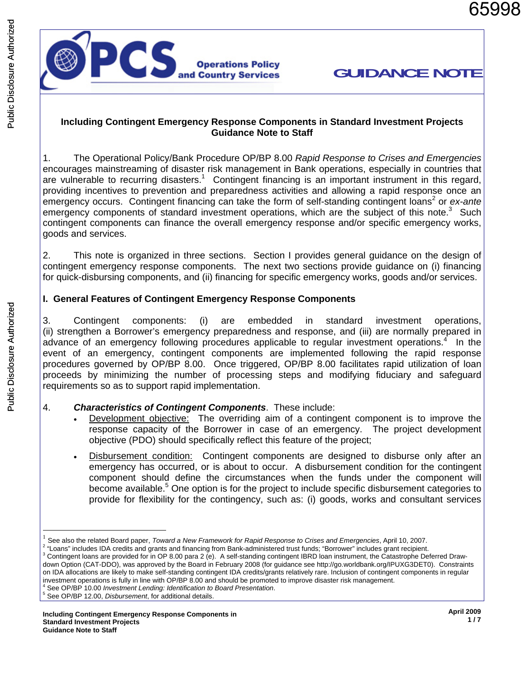

### **Including Contingent Emergency Response Components in Standard Investment Projects Guidance Note to Staff**

1. The Operational Policy/Bank Procedure OP/BP 8.00 *Rapid Response to Crises and Emergencies* encourages mainstreaming of disaster risk management in Bank operations, especially in countries that are vulnerable to recurring disasters.<sup>1</sup> Contingent financing is an important instrument in this regard, providing incentives to prevention and preparedness activities and allowing a rapid response once an emergency occurs. Contingent financing can take the form of self-standing contingent loans<sup>2</sup> or *ex-ante* emergency components of standard investment operations, which are the subject of this note. $3$  Such contingent components can finance the overall emergency response and/or specific emergency works, goods and services.

2. This note is organized in three sections. Section I provides general guidance on the design of contingent emergency response components. The next two sections provide guidance on (i) financing for quick-disbursing components, and (ii) financing for specific emergency works, goods and/or services.

## **I. General Features of Contingent Emergency Response Components**

3. Contingent components: (i) are embedded in standard investment operations, (ii) strengthen a Borrower's emergency preparedness and response, and (iii) are normally prepared in advance of an emergency following procedures applicable to regular investment operations.<sup>4</sup> In the event of an emergency, contingent components are implemented following the rapid response procedures governed by OP/BP 8.00. Once triggered, OP/BP 8.00 facilitates rapid utilization of loan proceeds by minimizing the number of processing steps and modifying fiduciary and safeguard requirements so as to support rapid implementation.

### 4. *Characteristics of Contingent Components*. These include:

- Development objective: The overriding aim of a contingent component is to improve the response capacity of the Borrower in case of an emergency. The project development objective (PDO) should specifically reflect this feature of the project;
- Disbursement condition: Contingent components are designed to disburse only after an emergency has occurred, or is about to occur. A disbursement condition for the contingent component should define the circumstances when the funds under the component will become available.<sup>5</sup> One option is for the project to include specific disbursement categories to provide for flexibility for the contingency, such as: (i) goods, works and consultant services

<sup>3</sup> Contingent loans are provided for in OP 8.00 para 2 (e). A self-standing contingent IBRD loan instrument, the Catastrophe Deferred Drawdown Option (CAT-DDO), was approved by the Board in February 2008 (for guidance see http://go.worldbank.org/IPUXG3DET0). Constraints on IDA allocations are likely to make self-standing contingent IDA credits/grants relatively rare. Inclusion of contingent components in regular investment operations is fully in line with OP/BP 8.00 and should be promoted to improve disaster risk management. 4 See OP/BP 10.00 *Investment Lending: Identification to Board Presentation*. 5

 $\overline{a}$ 

<sup>1</sup> See also the related Board paper, *Toward a New Framework for Rapid Response to Crises and Emergencies*, April 10, 2007. 2

<sup>&</sup>lt;sup>2</sup> "Loans" includes IDA credits and grants and financing from Bank-administered trust funds; "Borrower" includes grant recipient.

<sup>&</sup>lt;sup>5</sup> See OP/BP 12.00, *Disbursement*, for additional details.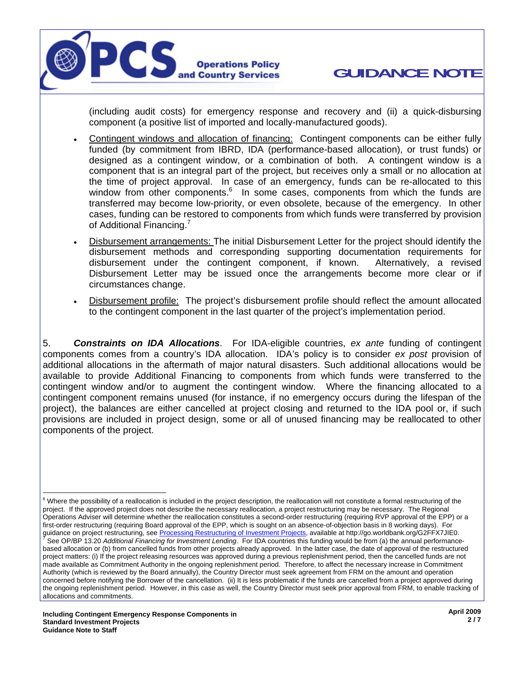

(including audit costs) for emergency response and recovery and (ii) a quick-disbursing component (a positive list of imported and locally-manufactured goods).

- Contingent windows and allocation of financing: Contingent components can be either fully funded (by commitment from IBRD, IDA (performance-based allocation), or trust funds) or designed as a contingent window, or a combination of both. A contingent window is a component that is an integral part of the project, but receives only a small or no allocation at the time of project approval. In case of an emergency, funds can be re-allocated to this window from other components.<sup>6</sup> In some cases, components from which the funds are transferred may become low-priority, or even obsolete, because of the emergency. In other cases, funding can be restored to components from which funds were transferred by provision of Additional Financing.<sup>7</sup>
- Disbursement arrangements: The initial Disbursement Letter for the project should identify the disbursement methods and corresponding supporting documentation requirements for disbursement under the contingent component, if known. Alternatively, a revised Disbursement Letter may be issued once the arrangements become more clear or if circumstances change.
- Disbursement profile: The project's disbursement profile should reflect the amount allocated to the contingent component in the last quarter of the project's implementation period.

5. *Constraints on IDA Allocations*. For IDA-eligible countries, *ex ante* funding of contingent components comes from a country's IDA allocation. IDA's policy is to consider *ex post* provision of additional allocations in the aftermath of major natural disasters. Such additional allocations would be available to provide Additional Financing to components from which funds were transferred to the contingent window and/or to augment the contingent window. Where the financing allocated to a contingent component remains unused (for instance, if no emergency occurs during the lifespan of the project), the balances are either cancelled at project closing and returned to the IDA pool or, if such provisions are included in project design, some or all of unused financing may be reallocated to other components of the project.

 $\overline{a}$  $^6$  Where the possibility of a reallocation is included in the project description, the reallocation will not constitute a formal restructuring of the project. If the approved project does not describe the necessary reallocation, a project restructuring may be necessary. The Regional Operations Adviser will determine whether the reallocation constitutes a second-order restructuring (requiring RVP approval of the EPP) or a first-order restructuring (requiring Board approval of the EPP, which is sought on an absence-of-objection basis in 8 working days). For guidance on project restructuring, see [Processing Restructuring of Investment Projects,](http://intresources.worldbank.org/INTINVLENDING/Resources/RestructuringGuidelines.pdf) available at http://go.worldbank.org/G2FFX7JIE0. See OP/BP 13.20 *Additional Financing for Investment Lending*. For IDA countries this funding would be from (a) the annual performancebased allocation or (b) from cancelled funds from other projects already approved. In the latter case, the date of approval of the restructured project matters: (i) If the project releasing resources was approved during a previous replenishment period, then the cancelled funds are not made available as Commitment Authority in the ongoing replenishment period. Therefore, to affect the necessary increase in Commitment Authority (which is reviewed by the Board annually), the Country Director must seek agreement from FRM on the amount and operation concerned before notifying the Borrower of the cancellation. (ii) It is less problematic if the funds are cancelled from a project approved during the ongoing replenishment period. However, in this case as well, the Country Director must seek prior approval from FRM, to enable tracking of allocations and commitments.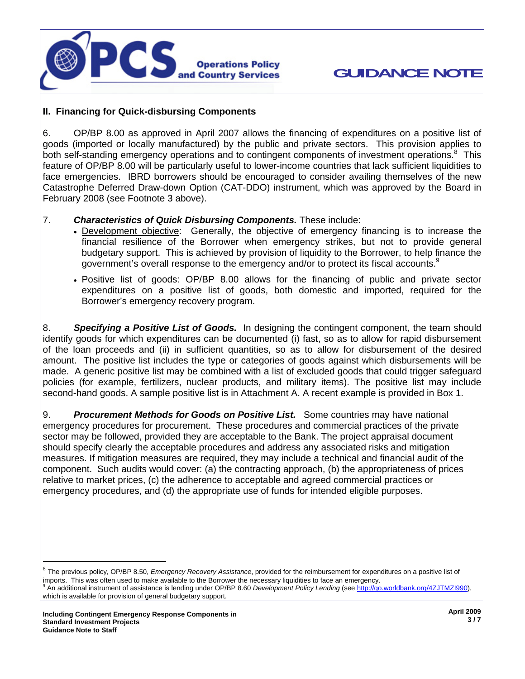

### **II. Financing for Quick-disbursing Components**

6. OP/BP 8.00 as approved in April 2007 allows the financing of expenditures on a positive list of goods (imported or locally manufactured) by the public and private sectors. This provision applies to both self-standing emergency operations and to contingent components of investment operations.<sup>8</sup> This feature of OP/BP 8.00 will be particularly useful to lower-income countries that lack sufficient liquidities to face emergencies. IBRD borrowers should be encouraged to consider availing themselves of the new Catastrophe Deferred Draw-down Option (CAT-DDO) instrument, which was approved by the Board in February 2008 (see Footnote 3 above).

- 7. *Characteristics of Quick Disbursing Components.* These include:
	- Development objective: Generally, the objective of emergency financing is to increase the financial resilience of the Borrower when emergency strikes, but not to provide general budgetary support. This is achieved by provision of liquidity to the Borrower, to help finance the government's overall response to the emergency and/or to protect its fiscal accounts.<sup>9</sup>
	- Positive list of goods: OP/BP 8.00 allows for the financing of public and private sector expenditures on a positive list of goods, both domestic and imported, required for the Borrower's emergency recovery program.

8. *Specifying a Positive List of Goods.* In designing the contingent component, the team should identify goods for which expenditures can be documented (i) fast, so as to allow for rapid disbursement of the loan proceeds and (ii) in sufficient quantities, so as to allow for disbursement of the desired amount. The positive list includes the type or categories of goods against which disbursements will be made. A generic positive list may be combined with a list of excluded goods that could trigger safeguard policies (for example, fertilizers, nuclear products, and military items). The positive list may include second-hand goods. A sample positive list is in Attachment A. A recent example is provided in Box 1.

9. *Procurement Methods for Goods on Positive List.* Some countries may have national emergency procedures for procurement. These procedures and commercial practices of the private sector may be followed, provided they are acceptable to the Bank. The project appraisal document should specify clearly the acceptable procedures and address any associated risks and mitigation measures. If mitigation measures are required, they may include a technical and financial audit of the component. Such audits would cover: (a) the contracting approach, (b) the appropriateness of prices relative to market prices, (c) the adherence to acceptable and agreed commercial practices or emergency procedures, and (d) the appropriate use of funds for intended eligible purposes.

<sup>8</sup> The previous policy, OP/BP 8.50, *Emergency Recovery Assistance*, provided for the reimbursement for expenditures on a positive list of imports. This was often used to make available to the Borrower the necessary liquidities to face an emergency.<br><sup>9</sup> An additional instrument of assistance is lending under OP/BP 8.60 *Development Policy Lending* (see <u>http:</u> which is available for provision of general budgetary support.

 $\overline{a}$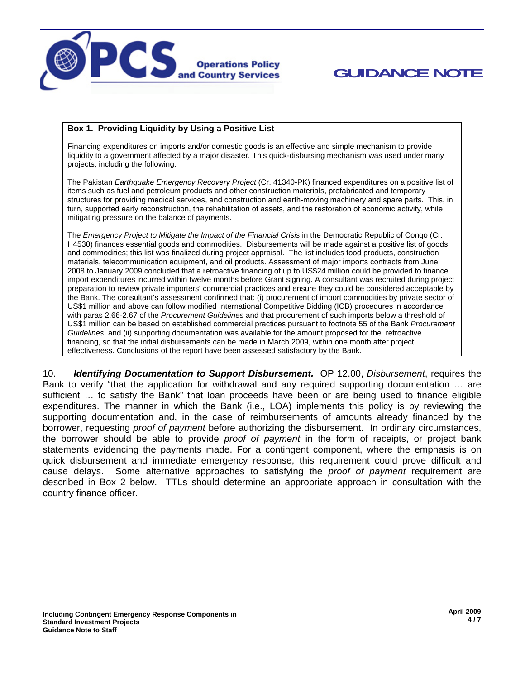

#### **Box 1. Providing Liquidity by Using a Positive List**

Financing expenditures on imports and/or domestic goods is an effective and simple mechanism to provide liquidity to a government affected by a major disaster. This quick-disbursing mechanism was used under many projects, including the following.

The Pakistan *Earthquake Emergency Recovery Project* (Cr. 41340-PK) financed expenditures on a positive list of items such as fuel and petroleum products and other construction materials, prefabricated and temporary structures for providing medical services, and construction and earth-moving machinery and spare parts. This, in turn, supported early reconstruction, the rehabilitation of assets, and the restoration of economic activity, while mitigating pressure on the balance of payments.

The *Emergency Project to Mitigate the Impact of the Financial Crisis* in the Democratic Republic of Congo (Cr. H4530) finances essential goods and commodities. Disbursements will be made against a positive list of goods and commodities; this list was finalized during project appraisal. The list includes food products, construction materials, telecommunication equipment, and oil products. Assessment of major imports contracts from June 2008 to January 2009 concluded that a retroactive financing of up to US\$24 million could be provided to finance import expenditures incurred within twelve months before Grant signing. A consultant was recruited during project preparation to review private importers' commercial practices and ensure they could be considered acceptable by the Bank. The consultant's assessment confirmed that: (i) procurement of import commodities by private sector of US\$1 million and above can follow modified International Competitive Bidding (ICB) procedures in accordance with paras 2.66-2.67 of the *Procurement Guidelines* and that procurement of such imports below a threshold of US\$1 million can be based on established commercial practices pursuant to footnote 55 of the Bank *Procurement Guidelines*; and (ii) supporting documentation was available for the amount proposed for the retroactive financing, so that the initial disbursements can be made in March 2009, within one month after project effectiveness. Conclusions of the report have been assessed satisfactory by the Bank.

10. *Identifying Documentation to Support Disbursement.* OP 12.00, *Disbursement*, requires the Bank to verify "that the application for withdrawal and any required supporting documentation … are sufficient ... to satisfy the Bank" that loan proceeds have been or are being used to finance eligible expenditures. The manner in which the Bank (i.e., LOA) implements this policy is by reviewing the supporting documentation and, in the case of reimbursements of amounts already financed by the borrower, requesting *proof of payment* before authorizing the disbursement. In ordinary circumstances, the borrower should be able to provide *proof of payment* in the form of receipts, or project bank statements evidencing the payments made. For a contingent component, where the emphasis is on quick disbursement and immediate emergency response, this requirement could prove difficult and cause delays. Some alternative approaches to satisfying the *proof of payment* requirement are described in Box 2 below. TTLs should determine an appropriate approach in consultation with the country finance officer.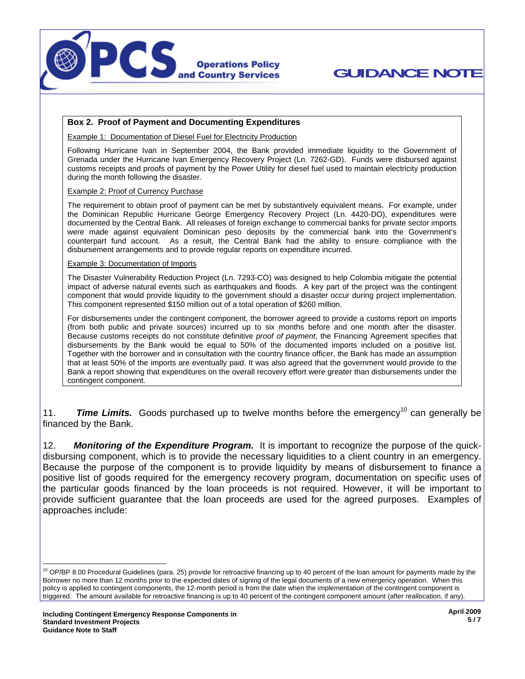

#### **Box 2. Proof of Payment and Documenting Expenditures**

**Example 1: Documentation of Diesel Fuel for Electricity Production** 

Following Hurricane Ivan in September 2004, the Bank provided immediate liquidity to the Government of Grenada under the Hurricane Ivan Emergency Recovery Project (Ln. 7262-GD). Funds were disbursed against customs receipts and proofs of payment by the Power Utility for diesel fuel used to maintain electricity production during the month following the disaster.

#### Example 2: Proof of Currency Purchase

The requirement to obtain proof of payment can be met by substantively equivalent means. For example, under the Dominican Republic Hurricane George Emergency Recovery Project (Ln. 4420-DO), expenditures were documented by the Central Bank. All releases of foreign exchange to commercial banks for private sector imports were made against equivalent Dominican peso deposits by the commercial bank into the Government's counterpart fund account. As a result, the Central Bank had the ability to ensure compliance with the disbursement arrangements and to provide regular reports on expenditure incurred.

#### Example 3: Documentation of Imports

The Disaster Vulnerability Reduction Project (Ln. 7293-CO) was designed to help Colombia mitigate the potential impact of adverse natural events such as earthquakes and floods. A key part of the project was the contingent component that would provide liquidity to the government should a disaster occur during project implementation. This component represented \$150 million out of a total operation of \$260 million.

For disbursements under the contingent component, the borrower agreed to provide a customs report on imports (from both public and private sources) incurred up to six months before and one month after the disaster. Because customs receipts do not constitute definitive *proof of payment*, the Financing Agreement specifies that disbursements by the Bank would be equal to 50% of the documented imports included on a positive list. Together with the borrower and in consultation with the country finance officer, the Bank has made an assumption that at least 50% of the imports are eventually paid. It was also agreed that the government would provide to the Bank a report showing that expenditures on the overall recovery effort were greater than disbursements under the contingent component.

11. **Time Limits.** Goods purchased up to twelve months before the emergency<sup>10</sup> can generally be financed by the Bank.

12. *Monitoring of the Expenditure Program.* It is important to recognize the purpose of the quickdisbursing component, which is to provide the necessary liquidities to a client country in an emergency. Because the purpose of the component is to provide liquidity by means of disbursement to finance a positive list of goods required for the emergency recovery program, documentation on specific uses of the particular goods financed by the loan proceeds is not required. However, it will be important to provide sufficient guarantee that the loan proceeds are used for the agreed purposes. Examples of approaches include:

 $\overline{a}$ 

 $10$  OP/BP 8.00 Procedural Guidelines (para. 25) provide for retroactive financing up to 40 percent of the loan amount for payments made by the Borrower no more than 12 months prior to the expected dates of signing of the legal documents of a new emergency operation. When this policy is applied to contingent components, the 12-month period is from the date when the implementation of the contingent component is triggered. The amount available for retroactive financing is up to 40 percent of the contingent component amount (after reallocation, if any).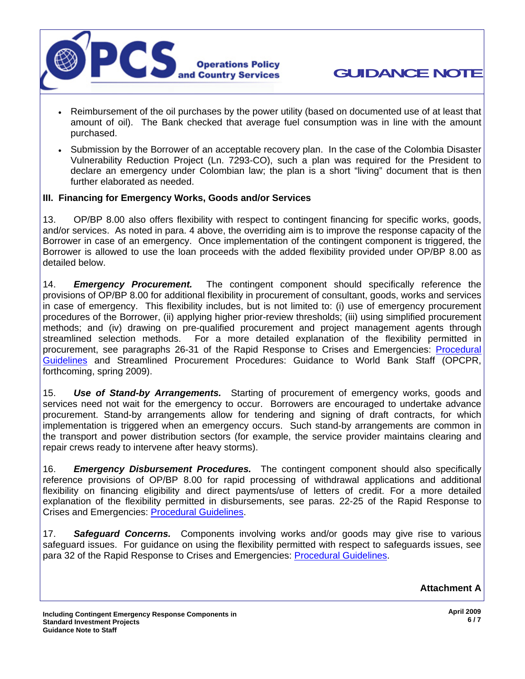

- Reimbursement of the oil purchases by the power utility (based on documented use of at least that amount of oil). The Bank checked that average fuel consumption was in line with the amount purchased.
- Submission by the Borrower of an acceptable recovery plan. In the case of the Colombia Disaster Vulnerability Reduction Project (Ln. 7293-CO), such a plan was required for the President to declare an emergency under Colombian law; the plan is a short "living" document that is then further elaborated as needed.

### **III. Financing for Emergency Works, Goods and/or Services**

13. OP/BP 8.00 also offers flexibility with respect to contingent financing for specific works, goods, and/or services. As noted in para. 4 above, the overriding aim is to improve the response capacity of the Borrower in case of an emergency. Once implementation of the contingent component is triggered, the Borrower is allowed to use the loan proceeds with the added flexibility provided under OP/BP 8.00 as detailed below.

14. *Emergency Procurement.* The contingent component should specifically reference the provisions of OP/BP 8.00 for additional flexibility in procurement of consultant, goods, works and services in case of emergency. This flexibility includes, but is not limited to: (i) use of emergency procurement procedures of the Borrower, (ii) applying higher prior-review thresholds; (iii) using simplified procurement methods; and (iv) drawing on pre-qualified procurement and project management agents through streamlined selection methods. For a more detailed explanation of the flexibility permitted in [procurement, see paragraphs 26-31 of the Rapid Response to Crises and Emergencies: Procedural](http://intresources.worldbank.org/INTRAPRES/Resources/RRCrisesEmergencies_ProcessGuideSteps.pdf?&&resourceurlname=RRCrisesEmergencies_ProcessGuideSteps.pdf)  Guidelines and Streamlined Procurement Procedures: Guidance to World Bank Staff (OPCPR, forthcoming, spring 2009).

15. *Use of Stand-by Arrangements.* Starting of procurement of emergency works, goods and services need not wait for the emergency to occur. Borrowers are encouraged to undertake advance procurement. Stand-by arrangements allow for tendering and signing of draft contracts, for which implementation is triggered when an emergency occurs. Such stand-by arrangements are common in the transport and power distribution sectors (for example, the service provider maintains clearing and repair crews ready to intervene after heavy storms).

16. *Emergency Disbursement Procedures.* The contingent component should also specifically reference provisions of OP/BP 8.00 for rapid processing of withdrawal applications and additional flexibility on financing eligibility and direct payments/use of letters of credit. For a more detailed explanation of the flexibility permitted in disbursements, see paras. 22-25 of the Rapid Response to Crises and Emergencies: [Procedural Guidelines.](http://intresources.worldbank.org/INTRAPRES/Resources/RRCrisesEmergencies_ProcessGuideSteps.pdf?&&resourceurlname=RRCrisesEmergencies_ProcessGuideSteps.pdf)

17. *Safeguard Concerns.* Components involving works and/or goods may give rise to various safeguard issues. For guidance on using the flexibility permitted with respect to safeguards issues, see para 32 of the Rapid Response to Crises and Emergencies: [Procedural Guidelines.](http://intresources.worldbank.org/INTRAPRES/Resources/RRCrisesEmergencies_ProcessGuideSteps.pdf?&&resourceurlname=RRCrisesEmergencies_ProcessGuideSteps.pdf) 

**Attachment A**